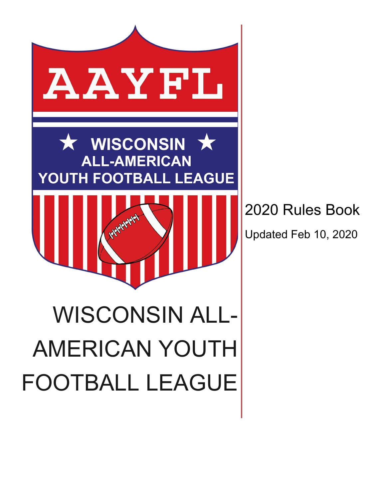

2020 Rules Book

Updated Feb 10, 2020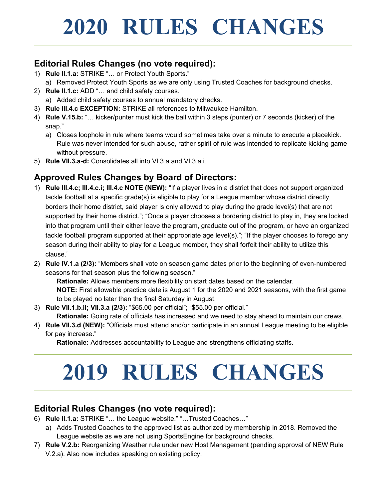## **2020 RULES CHANGES**

## **Editorial Rules Changes (no vote required):**

- 1) **Rule II.1.a:** STRIKE "… or Protect Youth Sports." a) Removed Protect Youth Sports as we are only using Trusted Coaches for background checks.
- 2) **Rule II.1.c:** ADD "… and child safety courses."
	- a) Added child safety courses to annual mandatory checks.
- 3) **Rule III.4.c EXCEPTION:** STRIKE all references to Milwaukee Hamilton.
- 4) **Rule V.15.b:** "… kicker/punter must kick the ball within 3 steps (punter) or 7 seconds (kicker) of the snap."
	- a) Closes loophole in rule where teams would sometimes take over a minute to execute a placekick. Rule was never intended for such abuse, rather spirit of rule was intended to replicate kicking game without pressure.
- 5) **Rule VII.3.a-d:** Consolidates all into VI.3.a and VI.3.a.i.

## **Approved Rules Changes by Board of Directors:**

- 1) **Rule III.4.c; III.4.c.i; III.4.c NOTE (NEW):** "If a player lives in a district that does not support organized tackle football at a specific grade(s) is eligible to play for a League member whose district directly borders their home district, said player is only allowed to play during the grade level(s) that are not supported by their home district."; "Once a player chooses a bordering district to play in, they are locked into that program until their either leave the program, graduate out of the program, or have an organized tackle football program supported at their appropriate age level(s)."; "If the player chooses to forego any season during their ability to play for a League member, they shall forfeit their ability to utilize this clause."
- 2) **Rule IV.1.a (2/3):** "Members shall vote on season game dates prior to the beginning of even-numbered seasons for that season plus the following season."

**Rationale:** Allows members more flexibility on start dates based on the calendar.

**NOTE:** First allowable practice date is August 1 for the 2020 and 2021 seasons, with the first game to be played no later than the final Saturday in August.

3) **Rule VII.1.b.ii; VII.3.a (2/3):** "\$65.00 per official"; "\$55.00 per official."

**Rationale:** Going rate of officials has increased and we need to stay ahead to maintain our crews.

4) **Rule VII.3.d (NEW):** "Officials must attend and/or participate in an annual League meeting to be eligible for pay increase."

**Rationale:** Addresses accountability to League and strengthens officiating staffs.

# **2019 RULES CHANGES**

## **Editorial Rules Changes (no vote required):**

- 6) **Rule II.1.a:** STRIKE "… the League website." "…Trusted Coaches…"
	- a) Adds Trusted Coaches to the approved list as authorized by membership in 2018. Removed the League website as we are not using SportsEngine for background checks.
- 7) **Rule V.2.b:** Reorganizing Weather rule under new Host Management (pending approval of NEW Rule V.2.a). Also now includes speaking on existing policy.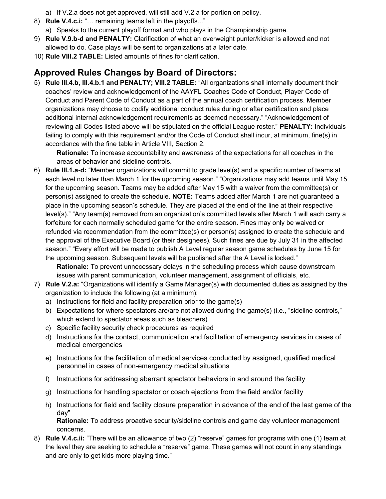- a) If V.2.a does not get approved, will still add V.2.a for portion on policy.
- 8) **Rule V.4.c.i:** "… remaining teams left in the playoffs..."
	- a) Speaks to the current playoff format and who plays in the Championship game.
- 9) **Rule V.9.b-d and PENALTY:** Clarification of what an overweight punter/kicker is allowed and not allowed to do. Case plays will be sent to organizations at a later date.
- 10) **Rule VIII.2 TABLE:** Listed amounts of fines for clarification.

## **Approved Rules Changes by Board of Directors:**

5) **Rule III.4.b, III.4.b.1 and PENALTY; VIII.2 TABLE:** "All organizations shall internally document their coaches' review and acknowledgement of the AAYFL Coaches Code of Conduct, Player Code of Conduct and Parent Code of Conduct as a part of the annual coach certification process. Member organizations may choose to codify additional conduct rules during or after certification and place additional internal acknowledgement requirements as deemed necessary." "Acknowledgement of reviewing all Codes listed above will be stipulated on the official League roster." **PENALTY:** Individuals failing to comply with this requirement and/or the Code of Conduct shall incur, at minimum, fine(s) in accordance with the fine table in Article VIII, Section 2.

**Rationale:** To increase accountability and awareness of the expectations for all coaches in the areas of behavior and sideline controls.

6) **Rule III.1.a-d:** "Member organizations will commit to grade level(s) and a specific number of teams at each level no later than March 1 for the upcoming season." "Organizations may add teams until May 15 for the upcoming season. Teams may be added after May 15 with a waiver from the committee(s) or person(s) assigned to create the schedule. **NOTE:** Teams added after March 1 are not guaranteed a place in the upcoming season's schedule. They are placed at the end of the line at their respective level(s)." "Any team(s) removed from an organization's committed levels after March 1 will each carry a forfeiture for each normally scheduled game for the entire season. Fines may only be waived or refunded via recommendation from the committee(s) or person(s) assigned to create the schedule and the approval of the Executive Board (or their designees). Such fines are due by July 31 in the affected season." "Every effort will be made to publish A Level regular season game schedules by June 15 for the upcoming season. Subsequent levels will be published after the A Level is locked."

**Rationale:** To prevent unnecessary delays in the scheduling process which cause downstream issues with parent communication, volunteer management, assignment of officials, etc.

- 7) **Rule V.2.a:** "Organizations will identify a Game Manager(s) with documented duties as assigned by the organization to include the following (at a minimum):
	- a) Instructions for field and facility preparation prior to the game(s)
	- b) Expectations for where spectators are/are not allowed during the game(s) (i.e., "sideline controls," which extend to spectator areas such as bleachers)
	- c) Specific facility security check procedures as required
	- d) Instructions for the contact, communication and facilitation of emergency services in cases of medical emergencies
	- e) Instructions for the facilitation of medical services conducted by assigned, qualified medical personnel in cases of non-emergency medical situations
	- f) Instructions for addressing aberrant spectator behaviors in and around the facility
	- g) Instructions for handling spectator or coach ejections from the field and/or facility
	- h) Instructions for field and facility closure preparation in advance of the end of the last game of the day"

**Rationale:** To address proactive security/sideline controls and game day volunteer management concerns.

8) **Rule V.4.c.ii:** "There will be an allowance of two (2) "reserve" games for programs with one (1) team at the level they are seeking to schedule a "reserve" game. These games will not count in any standings and are only to get kids more playing time."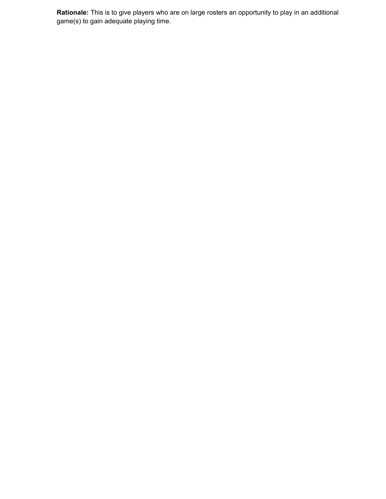**Rationale:** This is to give players who are on large rosters an opportunity to play in an additional game(s) to gain adequate playing time.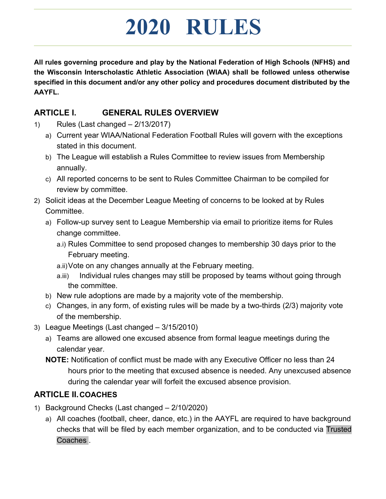## **2020 RULES**

**All rules governing procedure and play by the National Federation of High Schools (NFHS) and the Wisconsin Interscholastic Athletic Association (WIAA) shall be followed unless otherwise specified in this document and/or any other policy and procedures document distributed by the AAYFL.**

### **ARTICLE I. GENERAL RULES OVERVIEW**

- 1) Rules (Last changed 2/13/2017)
	- a) Current year WIAA/National Federation Football Rules will govern with the exceptions stated in this document.
	- b) The League will establish a Rules Committee to review issues from Membership annually.
	- c) All reported concerns to be sent to Rules Committee Chairman to be compiled for review by committee.
- 2) Solicit ideas at the December League Meeting of concerns to be looked at by Rules Committee.
	- a) Follow-up survey sent to League Membership via email to prioritize items for Rules change committee.
		- a.i) Rules Committee to send proposed changes to membership 30 days prior to the February meeting.
		- a.ii)Vote on any changes annually at the February meeting.
		- a.iii) Individual rules changes may still be proposed by teams without going through the committee.
	- b) New rule adoptions are made by a majority vote of the membership.
	- c) Changes, in any form, of existing rules will be made by a two-thirds (2/3) majority vote of the membership.
- 3) League Meetings (Last changed 3/15/2010)
	- a) Teams are allowed one excused absence from formal league meetings during the calendar year.
	- **NOTE:** Notification of conflict must be made with any Executive Officer no less than 24 hours prior to the meeting that excused absence is needed. Any unexcused absence during the calendar year will forfeit the excused absence provision.

## **ARTICLE II.COACHES**

- 1) Background Checks (Last changed 2/10/2020)
	- a) All coaches (football, cheer, dance, etc.) in the AAYFL are required to have background checks that will be filed by each member organization, and to be conducted via Trusted Coaches .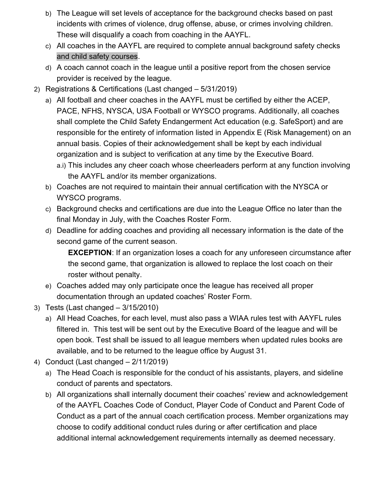- b) The League will set levels of acceptance for the background checks based on past incidents with crimes of violence, drug offense, abuse, or crimes involving children. These will disqualify a coach from coaching in the AAYFL.
- c) All coaches in the AAYFL are required to complete annual background safety checks and child safety courses.
- d) A coach cannot coach in the league until a positive report from the chosen service provider is received by the league.
- 2) Registrations & Certifications (Last changed 5/31/2019)
	- a) All football and cheer coaches in the AAYFL must be certified by either the ACEP, PACE, NFHS, NYSCA, USA Football or WYSCO programs. Additionally, all coaches shall complete the Child Safety Endangerment Act education (e.g. SafeSport) and are responsible for the entirety of information listed in Appendix E (Risk Management) on an annual basis. Copies of their acknowledgement shall be kept by each individual organization and is subject to verification at any time by the Executive Board.
		- a.i) This includes any cheer coach whose cheerleaders perform at any function involving the AAYFL and/or its member organizations.
	- b) Coaches are not required to maintain their annual certification with the NYSCA or WYSCO programs.
	- c) Background checks and certifications are due into the League Office no later than the final Monday in July, with the Coaches Roster Form.
	- d) Deadline for adding coaches and providing all necessary information is the date of the second game of the current season.

**EXCEPTION**: If an organization loses a coach for any unforeseen circumstance after the second game, that organization is allowed to replace the lost coach on their roster without penalty.

- e) Coaches added may only participate once the league has received all proper documentation through an updated coaches' Roster Form.
- 3) Tests (Last changed 3/15/2010)
	- a) All Head Coaches, for each level, must also pass a WIAA rules test with AAYFL rules filtered in. This test will be sent out by the Executive Board of the league and will be open book. Test shall be issued to all league members when updated rules books are available, and to be returned to the league office by August 31.
- 4) Conduct (Last changed 2/11/2019)
	- a) The Head Coach is responsible for the conduct of his assistants, players, and sideline conduct of parents and spectators.
	- b) All organizations shall internally document their coaches' review and acknowledgement of the AAYFL Coaches Code of Conduct, Player Code of Conduct and Parent Code of Conduct as a part of the annual coach certification process. Member organizations may choose to codify additional conduct rules during or after certification and place additional internal acknowledgement requirements internally as deemed necessary.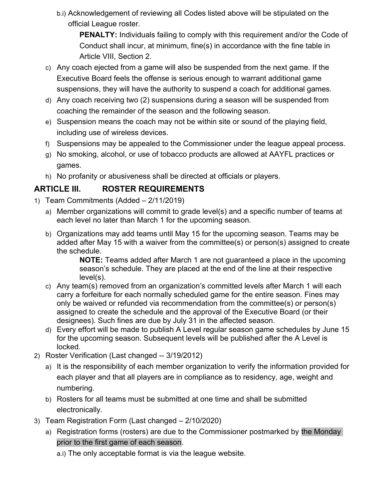b.i) Acknowledgement of reviewing all Codes listed above will be stipulated on the official League roster.

**PENALTY:** Individuals failing to comply with this requirement and/or the Code of Conduct shall incur, at minimum, fine(s) in accordance with the fine table in Article VIII, Section 2.

- c) Any coach ejected from a game will also be suspended from the next game. If the Executive Board feels the offense is serious enough to warrant additional game suspensions, they will have the authority to suspend a coach for additional games.
- d) Any coach receiving two (2) suspensions during a season will be suspended from coaching the remainder of the season and the following season.
- e) Suspension means the coach may not be within site or sound of the playing field, including use of wireless devices.
- f) Suspensions may be appealed to the Commissioner under the league appeal process.
- g) No smoking, alcohol, or use of tobacco products are allowed at AAYFL practices or games.
- h) No profanity or abusiveness shall be directed at officials or players.

## **ARTICLE III. ROSTER REQUIREMENTS**

- 1) Team Commitments (Added 2/11/2019)
	- a) Member organizations will commit to grade level(s) and a specific number of teams at each level no later than March 1 for the upcoming season.
	- b) Organizations may add teams until May 15 for the upcoming season. Teams may be added after May 15 with a waiver from the committee(s) or person(s) assigned to create the schedule.

**NOTE:** Teams added after March 1 are not guaranteed a place in the upcoming season's schedule. They are placed at the end of the line at their respective level(s).

- c) Any team(s) removed from an organization's committed levels after March 1 will each carry a forfeiture for each normally scheduled game for the entire season. Fines may only be waived or refunded via recommendation from the committee(s) or person(s) assigned to create the schedule and the approval of the Executive Board (or their designees). Such fines are due by July 31 in the affected season.
- d) Every effort will be made to publish A Level regular season game schedules by June 15 for the upcoming season. Subsequent levels will be published after the A Level is locked.
- 2) Roster Verification (Last changed -- 3/19/2012)
	- a) It is the responsibility of each member organization to verify the information provided for each player and that all players are in compliance as to residency, age, weight and numbering.
	- b) Rosters for all teams must be submitted at one time and shall be submitted electronically.
- 3) Team Registration Form (Last changed 2/10/2020)
	- a) Registration forms (rosters) are due to the Commissioner postmarked by the Monday prior to the first game of each season.
		- a.i) The only acceptable format is via the league website.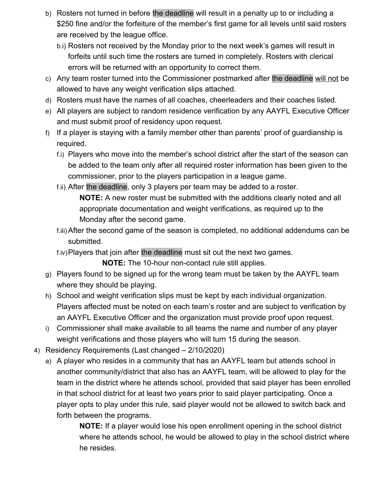- b) Rosters not turned in before the deadline will result in a penalty up to or including a \$250 fine and/or the forfeiture of the member's first game for all levels until said rosters are received by the league office.
	- b.i) Rosters not received by the Monday prior to the next week's games will result in forfeits until such time the rosters are turned in completely. Rosters with clerical errors will be returned with an opportunity to correct them.
- c) Any team roster turned into the Commissioner postmarked after the deadline will not be allowed to have any weight verification slips attached.
- d) Rosters must have the names of all coaches, cheerleaders and their coaches listed.
- e) All players are subject to random residence verification by any AAYFL Executive Officer and must submit proof of residency upon request.
- f) If a player is staying with a family member other than parents' proof of guardianship is required.
	- f.i) Players who move into the member's school district after the start of the season can be added to the team only after all required roster information has been given to the commissioner, prior to the players participation in a league game.
	- f.ii) After the deadline, only 3 players per team may be added to a roster.

**NOTE:** A new roster must be submitted with the additions clearly noted and all appropriate documentation and weight verifications, as required up to the Monday after the second game.

- f.iii)After the second game of the season is completed, no additional addendums can be submitted.
- f.iv)Players that join after the deadline must sit out the next two games.

**NOTE:** The 10-hour non-contact rule still applies.

- g) Players found to be signed up for the wrong team must be taken by the AAYFL team where they should be playing.
- h) School and weight verification slips must be kept by each individual organization. Players affected must be noted on each team's roster and are subject to verification by an AAYFL Executive Officer and the organization must provide proof upon request.
- i) Commissioner shall make available to all teams the name and number of any player weight verifications and those players who will turn 15 during the season.
- 4) Residency Requirements (Last changed 2/10/2020)
	- a) A player who resides in a community that has an AAYFL team but attends school in another community/district that also has an AAYFL team, will be allowed to play for the team in the district where he attends school, provided that said player has been enrolled in that school district for at least two years prior to said player participating. Once a player opts to play under this rule, said player would not be allowed to switch back and forth between the programs.

**NOTE:** If a player would lose his open enrollment opening in the school district where he attends school, he would be allowed to play in the school district where he resides.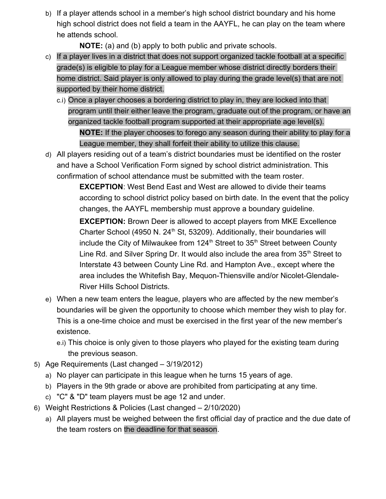b) If a player attends school in a member's high school district boundary and his home high school district does not field a team in the AAYFL, he can play on the team where he attends school.

**NOTE:** (a) and (b) apply to both public and private schools.

- c) If a player lives in a district that does not support organized tackle football at a specific grade(s) is eligible to play for a League member whose district directly borders their home district. Said player is only allowed to play during the grade level(s) that are not supported by their home district.
	- c.i) Once a player chooses a bordering district to play in, they are locked into that program until their either leave the program, graduate out of the program, or have an organized tackle football program supported at their appropriate age level(s).

**NOTE:** If the player chooses to forego any season during their ability to play for a League member, they shall forfeit their ability to utilize this clause.

d) All players residing out of a team's district boundaries must be identified on the roster and have a School Verification Form signed by school district administration. This confirmation of school attendance must be submitted with the team roster.

> **EXCEPTION**: West Bend East and West are allowed to divide their teams according to school district policy based on birth date. In the event that the policy changes, the AAYFL membership must approve a boundary guideline.

**EXCEPTION:** Brown Deer is allowed to accept players from MKE Excellence Charter School (4950 N.  $24<sup>th</sup>$  St, 53209). Additionally, their boundaries will include the City of Milwaukee from  $124<sup>th</sup>$  Street to 35<sup>th</sup> Street between County Line Rd. and Silver Spring Dr. It would also include the area from  $35<sup>th</sup>$  Street to Interstate 43 between County Line Rd. and Hampton Ave., except where the area includes the Whitefish Bay, Mequon-Thiensville and/or Nicolet-Glendale-River Hills School Districts.

- e) When a new team enters the league, players who are affected by the new member's boundaries will be given the opportunity to choose which member they wish to play for. This is a one-time choice and must be exercised in the first year of the new member's existence.
	- e.i) This choice is only given to those players who played for the existing team during the previous season.
- 5) Age Requirements (Last changed 3/19/2012)
	- a) No player can participate in this league when he turns 15 years of age.
	- b) Players in the 9th grade or above are prohibited from participating at any time.
	- c) "C" & "D" team players must be age 12 and under.
- 6) Weight Restrictions & Policies (Last changed 2/10/2020)
	- a) All players must be weighed between the first official day of practice and the due date of the team rosters on the deadline for that season.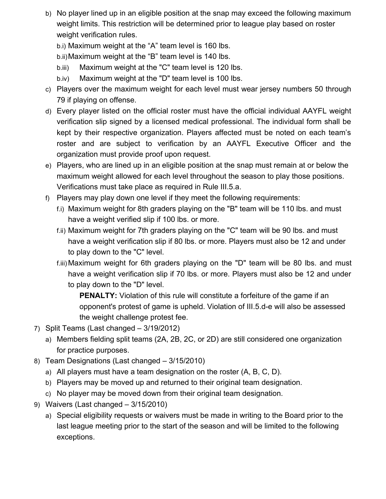- b) No player lined up in an eligible position at the snap may exceed the following maximum weight limits. This restriction will be determined prior to league play based on roster weight verification rules.
	- b.i) Maximum weight at the "A" team level is 160 lbs.
	- b.ii)Maximum weight at the "B" team level is 140 lbs.
	- b.iii) Maximum weight at the "C" team level is 120 lbs.
	- b.iv) Maximum weight at the "D" team level is 100 lbs.
- c) Players over the maximum weight for each level must wear jersey numbers 50 through 79 if playing on offense.
- d) Every player listed on the official roster must have the official individual AAYFL weight verification slip signed by a licensed medical professional. The individual form shall be kept by their respective organization. Players affected must be noted on each team's roster and are subject to verification by an AAYFL Executive Officer and the organization must provide proof upon request.
- e) Players, who are lined up in an eligible position at the snap must remain at or below the maximum weight allowed for each level throughout the season to play those positions. Verifications must take place as required in Rule III.5.a.
- f) Players may play down one level if they meet the following requirements:
	- f.i) Maximum weight for 8th graders playing on the "B" team will be 110 lbs. and must have a weight verified slip if 100 lbs. or more.
	- f.ii) Maximum weight for 7th graders playing on the "C" team will be 90 lbs. and must have a weight verification slip if 80 lbs. or more. Players must also be 12 and under to play down to the "C" level.
	- f.iii) Maximum weight for 6th graders playing on the "D" team will be 80 lbs. and must have a weight verification slip if 70 lbs. or more. Players must also be 12 and under to play down to the "D" level.

**PENALTY:** Violation of this rule will constitute a forfeiture of the game if an opponent's protest of game is upheld. Violation of III.5.d-e will also be assessed the weight challenge protest fee.

- 7) Split Teams (Last changed 3/19/2012)
	- a) Members fielding split teams (2A, 2B, 2C, or 2D) are still considered one organization for practice purposes.
- 8) Team Designations (Last changed 3/15/2010)
	- a) All players must have a team designation on the roster (A, B, C, D).
	- b) Players may be moved up and returned to their original team designation.
	- c) No player may be moved down from their original team designation.
- 9) Waivers (Last changed 3/15/2010)
	- a) Special eligibility requests or waivers must be made in writing to the Board prior to the last league meeting prior to the start of the season and will be limited to the following exceptions.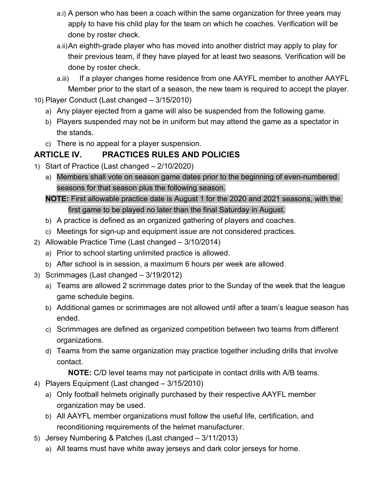- a.i) A person who has been a coach within the same organization for three years may apply to have his child play for the team on which he coaches. Verification will be done by roster check.
- a.ii)An eighth-grade player who has moved into another district may apply to play for their previous team, if they have played for at least two seasons. Verification will be done by roster check.
- a.iii) If a player changes home residence from one AAYFL member to another AAYFL Member prior to the start of a season, the new team is required to accept the player.
- 10) Player Conduct (Last changed 3/15/2010)
	- a) Any player ejected from a game will also be suspended from the following game.
	- b) Players suspended may not be in uniform but may attend the game as a spectator in the stands.
	- c) There is no appeal for a player suspension.

## **ARTICLE IV. PRACTICES RULES AND POLICIES**

- 1) Start of Practice (Last changed 2/10/2020)
	- a) Members shall vote on season game dates prior to the beginning of even-numbered seasons for that season plus the following season.

**NOTE:** First allowable practice date is August 1 for the 2020 and 2021 seasons, with the first game to be played no later than the final Saturday in August.

- b) A practice is defined as an organized gathering of players and coaches.
- c) Meetings for sign-up and equipment issue are not considered practices.
- 2) Allowable Practice Time (Last changed 3/10/2014)
	- a) Prior to school starting unlimited practice is allowed.
	- b) After school is in session, a maximum 6 hours per week are allowed.
- 3) Scrimmages (Last changed 3/19/2012)
	- a) Teams are allowed 2 scrimmage dates prior to the Sunday of the week that the league game schedule begins.
	- b) Additional games or scrimmages are not allowed until after a team's league season has ended.
	- c) Scrimmages are defined as organized competition between two teams from different organizations.
	- d) Teams from the same organization may practice together including drills that involve contact.

**NOTE:** C/D level teams may not participate in contact drills with A/B teams.

- 4) Players Equipment (Last changed 3/15/2010)
	- a) Only football helmets originally purchased by their respective AAYFL member organization may be used.
	- b) All AAYFL member organizations must follow the useful life, certification, and reconditioning requirements of the helmet manufacturer.
- 5) Jersey Numbering & Patches (Last changed 3/11/2013)
	- a) All teams must have white away jerseys and dark color jerseys for home.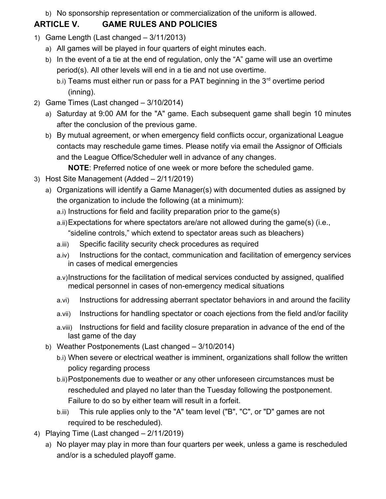b) No sponsorship representation or commercialization of the uniform is allowed.

## **ARTICLE V. GAME RULES AND POLICIES**

- 1) Game Length (Last changed 3/11/2013)
	- a) All games will be played in four quarters of eight minutes each.
	- b) In the event of a tie at the end of regulation, only the "A" game will use an overtime period(s). All other levels will end in a tie and not use overtime.
		- b.i) Teams must either run or pass for a PAT beginning in the  $3<sup>rd</sup>$  overtime period (inning).
- 2) Game Times (Last changed 3/10/2014)
	- a) Saturday at 9:00 AM for the "A" game. Each subsequent game shall begin 10 minutes after the conclusion of the previous game.
	- b) By mutual agreement, or when emergency field conflicts occur, organizational League contacts may reschedule game times. Please notify via email the Assignor of Officials and the League Office/Scheduler well in advance of any changes.

**NOTE**: Preferred notice of one week or more before the scheduled game.

- 3) Host Site Management (Added 2/11/2019)
	- a) Organizations will identify a Game Manager(s) with documented duties as assigned by the organization to include the following (at a minimum):
		- a.i) Instructions for field and facility preparation prior to the game(s)
		- a.ii)Expectations for where spectators are/are not allowed during the game(s) (i.e., "sideline controls," which extend to spectator areas such as bleachers)
		- a.iii) Specific facility security check procedures as required
		- a.iv) Instructions for the contact, communication and facilitation of emergency services in cases of medical emergencies
		- a.v)Instructions for the facilitation of medical services conducted by assigned, qualified medical personnel in cases of non-emergency medical situations
		- a.vi) Instructions for addressing aberrant spectator behaviors in and around the facility
		- a.vii) Instructions for handling spectator or coach ejections from the field and/or facility
		- a.viii) Instructions for field and facility closure preparation in advance of the end of the last game of the day
	- b) Weather Postponements (Last changed 3/10/2014)
		- b.i) When severe or electrical weather is imminent, organizations shall follow the written policy regarding process
		- b.ii)Postponements due to weather or any other unforeseen circumstances must be rescheduled and played no later than the Tuesday following the postponement. Failure to do so by either team will result in a forfeit.
		- b.iii) This rule applies only to the "A" team level ("B", "C", or "D" games are not required to be rescheduled).
- 4) Playing Time (Last changed 2/11/2019)
	- a) No player may play in more than four quarters per week, unless a game is rescheduled and/or is a scheduled playoff game.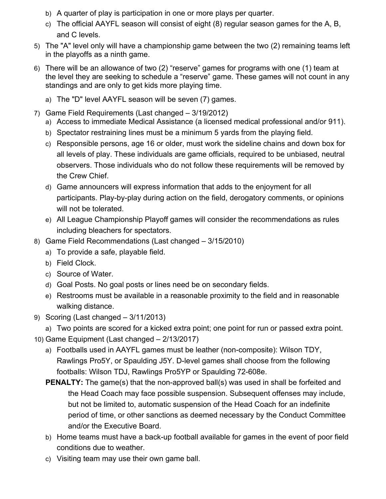- b) A quarter of play is participation in one or more plays per quarter.
- c) The official AAYFL season will consist of eight (8) regular season games for the A, B, and C levels.
- 5) The "A" level only will have a championship game between the two (2) remaining teams left in the playoffs as a ninth game.
- 6) There will be an allowance of two (2) "reserve" games for programs with one (1) team at the level they are seeking to schedule a "reserve" game. These games will not count in any standings and are only to get kids more playing time.
	- a) The "D" level AAYFL season will be seven (7) games.
- 7) Game Field Requirements (Last changed 3/19/2012)
	- a) Access to immediate Medical Assistance (a licensed medical professional and/or 911).
	- b) Spectator restraining lines must be a minimum 5 yards from the playing field.
	- c) Responsible persons, age 16 or older, must work the sideline chains and down box for all levels of play. These individuals are game officials, required to be unbiased, neutral observers. Those individuals who do not follow these requirements will be removed by the Crew Chief.
	- d) Game announcers will express information that adds to the enjoyment for all participants. Play-by-play during action on the field, derogatory comments, or opinions will not be tolerated.
	- e) All League Championship Playoff games will consider the recommendations as rules including bleachers for spectators.
- 8) Game Field Recommendations (Last changed 3/15/2010)
	- a) To provide a safe, playable field.
	- b) Field Clock.
	- c) Source of Water.
	- d) Goal Posts. No goal posts or lines need be on secondary fields.
	- e) Restrooms must be available in a reasonable proximity to the field and in reasonable walking distance.
- 9) Scoring (Last changed 3/11/2013)
	- a) Two points are scored for a kicked extra point; one point for run or passed extra point.
- 10) Game Equipment (Last changed 2/13/2017)
	- a) Footballs used in AAYFL games must be leather (non-composite): Wilson TDY, Rawlings Pro5Y, or Spaulding J5Y. D-level games shall choose from the following footballs: Wilson TDJ, Rawlings Pro5YP or Spaulding 72-608e.
	- **PENALTY:** The game(s) that the non-approved ball(s) was used in shall be forfeited and the Head Coach may face possible suspension. Subsequent offenses may include, but not be limited to, automatic suspension of the Head Coach for an indefinite period of time, or other sanctions as deemed necessary by the Conduct Committee and/or the Executive Board.
	- b) Home teams must have a back-up football available for games in the event of poor field conditions due to weather.
	- c) Visiting team may use their own game ball.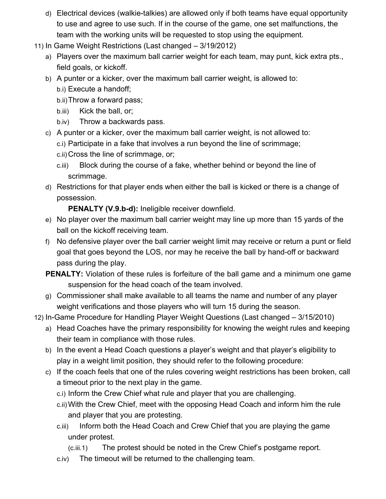- d) Electrical devices (walkie-talkies) are allowed only if both teams have equal opportunity to use and agree to use such. If in the course of the game, one set malfunctions, the team with the working units will be requested to stop using the equipment.
- 11) In Game Weight Restrictions (Last changed 3/19/2012)
	- a) Players over the maximum ball carrier weight for each team, may punt, kick extra pts., field goals, or kickoff.
	- b) A punter or a kicker, over the maximum ball carrier weight, is allowed to:
		- b.i) Execute a handoff;
		- b.ii)Throw a forward pass;
		- b.iii) Kick the ball, or;
		- b.iv) Throw a backwards pass.
	- c) A punter or a kicker, over the maximum ball carrier weight, is not allowed to:
		- c.i) Participate in a fake that involves a run beyond the line of scrimmage;
			- c.ii)Cross the line of scrimmage, or;
			- c.iii) Block during the course of a fake, whether behind or beyond the line of scrimmage.
	- d) Restrictions for that player ends when either the ball is kicked or there is a change of possession.

**PENALTY (V.9.b-d):** Ineligible receiver downfield.

- e) No player over the maximum ball carrier weight may line up more than 15 yards of the ball on the kickoff receiving team.
- f) No defensive player over the ball carrier weight limit may receive or return a punt or field goal that goes beyond the LOS, nor may he receive the ball by hand-off or backward pass during the play.
- **PENALTY:** Violation of these rules is forfeiture of the ball game and a minimum one game suspension for the head coach of the team involved.
- g) Commissioner shall make available to all teams the name and number of any player weight verifications and those players who will turn 15 during the season.
- 12) In-Game Procedure for Handling Player Weight Questions (Last changed 3/15/2010)
	- a) Head Coaches have the primary responsibility for knowing the weight rules and keeping their team in compliance with those rules.
	- b) In the event a Head Coach questions a player's weight and that player's eligibility to play in a weight limit position, they should refer to the following procedure:
	- c) If the coach feels that one of the rules covering weight restrictions has been broken, call a timeout prior to the next play in the game.
		- c.i) Inform the Crew Chief what rule and player that you are challenging.
		- c.ii)With the Crew Chief, meet with the opposing Head Coach and inform him the rule and player that you are protesting.
		- c.iii) Inform both the Head Coach and Crew Chief that you are playing the game under protest.
			- (c.iii.1) The protest should be noted in the Crew Chief's postgame report.
		- c.iv) The timeout will be returned to the challenging team.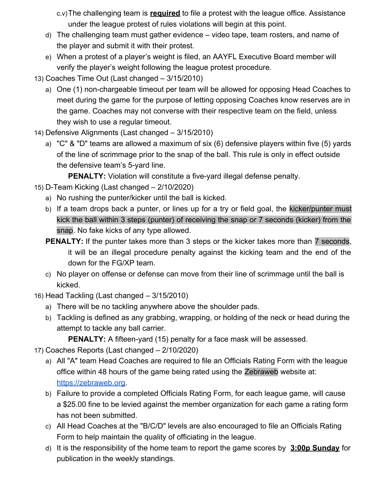c.v)The challenging team is **required** to file a protest with the league office. Assistance under the league protest of rules violations will begin at this point.

- d) The challenging team must gather evidence video tape, team rosters, and name of the player and submit it with their protest.
- e) When a protest of a player's weight is filed, an AAYFL Executive Board member will verify the player's weight following the league protest procedure.
- 13) Coaches Time Out (Last changed 3/15/2010)
	- a) One (1) non-chargeable timeout per team will be allowed for opposing Head Coaches to meet during the game for the purpose of letting opposing Coaches know reserves are in the game. Coaches may not converse with their respective team on the field, unless they wish to use a regular timeout.
- 14) Defensive Alignments (Last changed 3/15/2010)
	- a) "C" & "D" teams are allowed a maximum of six (6) defensive players within five (5) yards of the line of scrimmage prior to the snap of the ball. This rule is only in effect outside the defensive team's 5-yard line.

**PENALTY:** Violation will constitute a five-yard illegal defense penalty.

- 15) D-Team Kicking (Last changed 2/10/2020)
	- a) No rushing the punter/kicker until the ball is kicked.
	- b) If a team drops back a punter, or lines up for a try or field goal, the kicker/punter must kick the ball within 3 steps (punter) of receiving the snap or 7 seconds (kicker) from the snap. No fake kicks of any type allowed.
	- **PENALTY:** If the punter takes more than 3 steps or the kicker takes more than 7 seconds, it will be an illegal procedure penalty against the kicking team and the end of the down for the FG/XP team.
	- c) No player on offense or defense can move from their line of scrimmage until the ball is kicked.
- 16) Head Tackling (Last changed 3/15/2010)
	- a) There will be no tackling anywhere above the shoulder pads.
	- b) Tackling is defined as any grabbing, wrapping, or holding of the neck or head during the attempt to tackle any ball carrier.

**PENALTY:** A fifteen-yard (15) penalty for a face mask will be assessed.

- 17) Coaches Reports (Last changed 2/10/2020)
	- a) All "A" team Head Coaches are required to file an Officials Rating Form with the league office within 48 hours of the game being rated using the Zebraweb website at: [https://zebraweb.org.](https://app.zebraweb.org/soos/Console.asp)
	- b) Failure to provide a completed Officials Rating Form, for each league game, will cause a \$25.00 fine to be levied against the member organization for each game a rating form has not been submitted.
	- c) All Head Coaches at the "B/C/D" levels are also encouraged to file an Officials Rating Form to help maintain the quality of officiating in the league.
	- d) It is the responsibility of the home team to report the game scores by **3:00p Sunday** for publication in the weekly standings.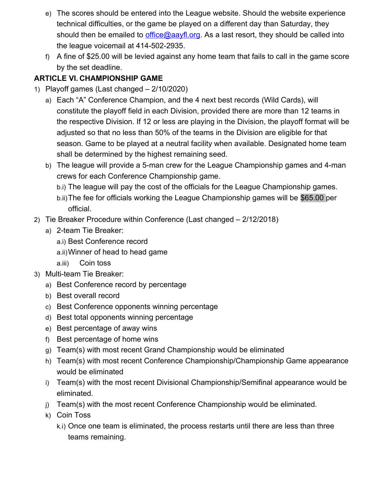- e) The scores should be entered into the League website. Should the website experience technical difficulties, or the game be played on a different day than Saturday, they should then be emailed to [office@aayfl.org.](mailto:office@aayfl.org) As a last resort, they should be called into the league voicemail at 414-502-2935.
- f) A fine of \$25.00 will be levied against any home team that fails to call in the game score by the set deadline.

### **ARTICLE VI. CHAMPIONSHIP GAME**

- 1) Playoff games (Last changed 2/10/2020)
	- a) Each "A" Conference Champion, and the 4 next best records (Wild Cards), will constitute the playoff field in each Division, provided there are more than 12 teams in the respective Division. If 12 or less are playing in the Division, the playoff format will be adjusted so that no less than 50% of the teams in the Division are eligible for that season. Game to be played at a neutral facility when available. Designated home team shall be determined by the highest remaining seed.
	- b) The league will provide a 5-man crew for the League Championship games and 4-man crews for each Conference Championship game.
		- b.i) The league will pay the cost of the officials for the League Championship games.
		- b.ii)The fee for officials working the League Championship games will be \$65.00 per official.
- 2) Tie Breaker Procedure within Conference (Last changed 2/12/2018)
	- a) 2-team Tie Breaker:
		- a.i) Best Conference record
		- a.ii)Winner of head to head game
		- a.iii) Coin toss
- 3) Multi-team Tie Breaker:
	- a) Best Conference record by percentage
	- b) Best overall record
	- c) Best Conference opponents winning percentage
	- d) Best total opponents winning percentage
	- e) Best percentage of away wins
	- f) Best percentage of home wins
	- g) Team(s) with most recent Grand Championship would be eliminated
	- h) Team(s) with most recent Conference Championship/Championship Game appearance would be eliminated
	- i) Team(s) with the most recent Divisional Championship/Semifinal appearance would be eliminated.
	- j) Team(s) with the most recent Conference Championship would be eliminated.
	- k) Coin Toss
		- k.i) Once one team is eliminated, the process restarts until there are less than three teams remaining.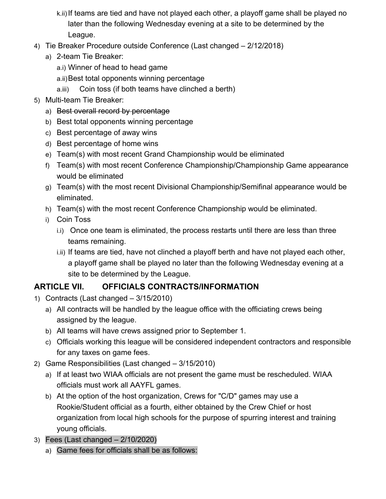- k.ii)If teams are tied and have not played each other, a playoff game shall be played no later than the following Wednesday evening at a site to be determined by the League.
- 4) Tie Breaker Procedure outside Conference (Last changed 2/12/2018)
	- a) 2-team Tie Breaker:
		- a.i) Winner of head to head game
		- a.ii)Best total opponents winning percentage
		- a.iii) Coin toss (if both teams have clinched a berth)
- 5) Multi-team Tie Breaker:
	- a) Best overall record by percentage
	- b) Best total opponents winning percentage
	- c) Best percentage of away wins
	- d) Best percentage of home wins
	- e) Team(s) with most recent Grand Championship would be eliminated
	- f) Team(s) with most recent Conference Championship/Championship Game appearance would be eliminated
	- g) Team(s) with the most recent Divisional Championship/Semifinal appearance would be eliminated.
	- h) Team(s) with the most recent Conference Championship would be eliminated.
	- i) Coin Toss
		- i.i) Once one team is eliminated, the process restarts until there are less than three teams remaining.
		- i.ii) If teams are tied, have not clinched a playoff berth and have not played each other, a playoff game shall be played no later than the following Wednesday evening at a site to be determined by the League.

## **ARTICLE VII. OFFICIALS CONTRACTS/INFORMATION**

- 1) Contracts (Last changed 3/15/2010)
	- a) All contracts will be handled by the league office with the officiating crews being assigned by the league.
	- b) All teams will have crews assigned prior to September 1.
	- c) Officials working this league will be considered independent contractors and responsible for any taxes on game fees.
- 2) Game Responsibilities (Last changed 3/15/2010)
	- a) If at least two WIAA officials are not present the game must be rescheduled. WIAA officials must work all AAYFL games.
	- b) At the option of the host organization, Crews for "C/D" games may use a Rookie/Student official as a fourth, either obtained by the Crew Chief or host organization from local high schools for the purpose of spurring interest and training young officials.
- 3) Fees (Last changed 2/10/2020)
	- a) Game fees for officials shall be as follows: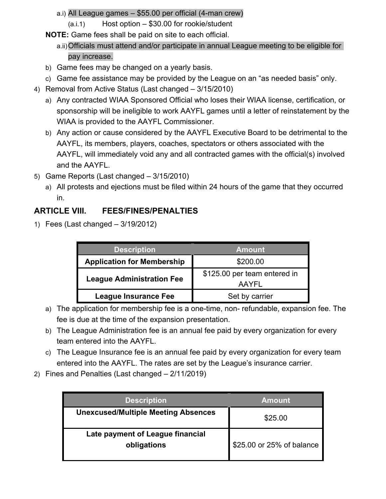- a.i) All League games \$55.00 per official (4-man crew)
	- (a.i.1) Host option \$30.00 for rookie/student
- **NOTE:** Game fees shall be paid on site to each official.
	- a.ii)Officials must attend and/or participate in annual League meeting to be eligible for pay increase.
- b) Game fees may be changed on a yearly basis.
- c) Game fee assistance may be provided by the League on an "as needed basis" only.
- 4) Removal from Active Status (Last changed 3/15/2010)
	- a) Any contracted WIAA Sponsored Official who loses their WIAA license, certification, or sponsorship will be ineligible to work AAYFL games until a letter of reinstatement by the WIAA is provided to the AAYFL Commissioner.
	- b) Any action or cause considered by the AAYFL Executive Board to be detrimental to the AAYFL, its members, players, coaches, spectators or others associated with the AAYFL, will immediately void any and all contracted games with the official(s) involved and the AAYFL.
- 5) Game Reports (Last changed 3/15/2010)
	- a) All protests and ejections must be filed within 24 hours of the game that they occurred in.

## **ARTICLE VIII. FEES/FINES/PENALTIES**

1) Fees (Last changed – 3/19/2012)

| <b>Description</b>                | <b>Amount</b>                         |
|-----------------------------------|---------------------------------------|
| <b>Application for Membership</b> | \$200.00                              |
| <b>League Administration Fee</b>  | \$125.00 per team entered in<br>AAYFL |
| <b>League Insurance Fee</b>       | Set by carrier                        |

- a) The application for membership fee is a one-time, non- refundable, expansion fee. The fee is due at the time of the expansion presentation.
- b) The League Administration fee is an annual fee paid by every organization for every team entered into the AAYFL.
- c) The League Insurance fee is an annual fee paid by every organization for every team entered into the AAYFL. The rates are set by the League's insurance carrier.
- 2) Fines and Penalties (Last changed 2/11/2019)

| <b>Description</b>                              | <b>Amount</b>             |
|-------------------------------------------------|---------------------------|
| <b>Unexcused/Multiple Meeting Absences</b>      | \$25.00                   |
| Late payment of League financial<br>obligations | \$25.00 or 25% of balance |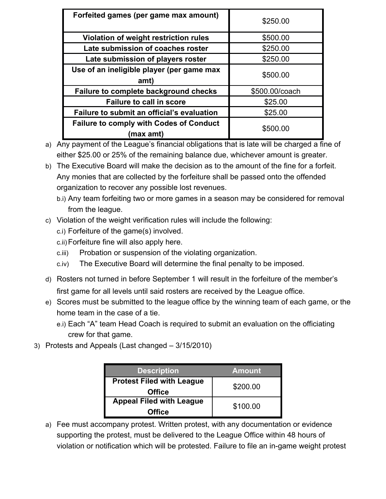| Forfeited games (per game max amount)                       | \$250.00       |
|-------------------------------------------------------------|----------------|
| Violation of weight restriction rules                       | \$500.00       |
| Late submission of coaches roster                           | \$250.00       |
| Late submission of players roster                           | \$250.00       |
| Use of an ineligible player (per game max<br>amt)           | \$500.00       |
| Failure to complete background checks                       | \$500.00/coach |
| <b>Failure to call in score</b>                             | \$25.00        |
| Failure to submit an official's evaluation                  | \$25.00        |
| <b>Failure to comply with Codes of Conduct</b><br>(max amt) | \$500.00       |

a) Any payment of the League's financial obligations that is late will be charged a fine of either \$25.00 or 25% of the remaining balance due, whichever amount is greater.

b) The Executive Board will make the decision as to the amount of the fine for a forfeit. Any monies that are collected by the forfeiture shall be passed onto the offended organization to recover any possible lost revenues.

- b.i) Any team forfeiting two or more games in a season may be considered for removal from the league.
- c) Violation of the weight verification rules will include the following:
	- c.i) Forfeiture of the game(s) involved.
	- c.ii)Forfeiture fine will also apply here.
	- c.iii) Probation or suspension of the violating organization.
	- c.iv) The Executive Board will determine the final penalty to be imposed.
- d) Rosters not turned in before September 1 will result in the forfeiture of the member's first game for all levels until said rosters are received by the League office.
- e) Scores must be submitted to the league office by the winning team of each game, or the home team in the case of a tie.
	- e.i) Each "A" team Head Coach is required to submit an evaluation on the officiating crew for that game.
- 3) Protests and Appeals (Last changed 3/15/2010)

| <b>Description</b>               | Amount <sup>'</sup> |
|----------------------------------|---------------------|
| <b>Protest Filed with League</b> | \$200.00            |
| <b>Office</b>                    |                     |
| <b>Appeal Filed with League</b>  | \$100.00            |
| <b>Office</b>                    |                     |

a) Fee must accompany protest. Written protest, with any documentation or evidence supporting the protest, must be delivered to the League Office within 48 hours of violation or notification which will be protested. Failure to file an in-game weight protest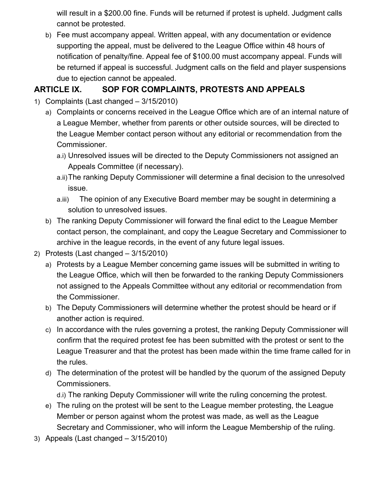will result in a \$200.00 fine. Funds will be returned if protest is upheld. Judgment calls cannot be protested.

b) Fee must accompany appeal. Written appeal, with any documentation or evidence supporting the appeal, must be delivered to the League Office within 48 hours of notification of penalty/fine. Appeal fee of \$100.00 must accompany appeal. Funds will be returned if appeal is successful. Judgment calls on the field and player suspensions due to ejection cannot be appealed.

### **ARTICLE IX. SOP FOR COMPLAINTS, PROTESTS AND APPEALS**

- 1) Complaints (Last changed 3/15/2010)
	- a) Complaints or concerns received in the League Office which are of an internal nature of a League Member, whether from parents or other outside sources, will be directed to the League Member contact person without any editorial or recommendation from the Commissioner.
		- a.i) Unresolved issues will be directed to the Deputy Commissioners not assigned an Appeals Committee (if necessary).
		- a.ii)The ranking Deputy Commissioner will determine a final decision to the unresolved issue.
		- a.iii) The opinion of any Executive Board member may be sought in determining a solution to unresolved issues.
	- b) The ranking Deputy Commissioner will forward the final edict to the League Member contact person, the complainant, and copy the League Secretary and Commissioner to archive in the league records, in the event of any future legal issues.
- 2) Protests (Last changed 3/15/2010)
	- a) Protests by a League Member concerning game issues will be submitted in writing to the League Office, which will then be forwarded to the ranking Deputy Commissioners not assigned to the Appeals Committee without any editorial or recommendation from the Commissioner.
	- b) The Deputy Commissioners will determine whether the protest should be heard or if another action is required.
	- c) In accordance with the rules governing a protest, the ranking Deputy Commissioner will confirm that the required protest fee has been submitted with the protest or sent to the League Treasurer and that the protest has been made within the time frame called for in the rules.
	- d) The determination of the protest will be handled by the quorum of the assigned Deputy Commissioners.
		- d.i) The ranking Deputy Commissioner will write the ruling concerning the protest.
	- e) The ruling on the protest will be sent to the League member protesting, the League Member or person against whom the protest was made, as well as the League Secretary and Commissioner, who will inform the League Membership of the ruling.
- 3) Appeals (Last changed 3/15/2010)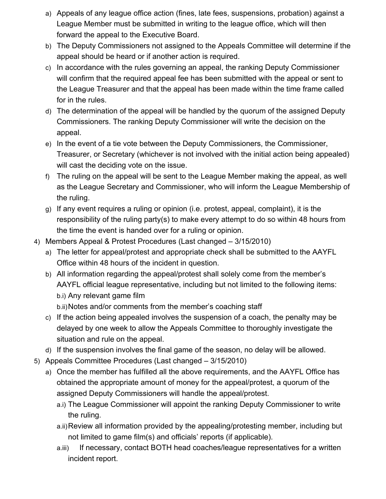- a) Appeals of any league office action (fines, late fees, suspensions, probation) against a League Member must be submitted in writing to the league office, which will then forward the appeal to the Executive Board.
- b) The Deputy Commissioners not assigned to the Appeals Committee will determine if the appeal should be heard or if another action is required.
- c) In accordance with the rules governing an appeal, the ranking Deputy Commissioner will confirm that the required appeal fee has been submitted with the appeal or sent to the League Treasurer and that the appeal has been made within the time frame called for in the rules.
- d) The determination of the appeal will be handled by the quorum of the assigned Deputy Commissioners. The ranking Deputy Commissioner will write the decision on the appeal.
- e) In the event of a tie vote between the Deputy Commissioners, the Commissioner, Treasurer, or Secretary (whichever is not involved with the initial action being appealed) will cast the deciding vote on the issue.
- f) The ruling on the appeal will be sent to the League Member making the appeal, as well as the League Secretary and Commissioner, who will inform the League Membership of the ruling.
- g) If any event requires a ruling or opinion (i.e. protest, appeal, complaint), it is the responsibility of the ruling party(s) to make every attempt to do so within 48 hours from the time the event is handed over for a ruling or opinion.
- 4) Members Appeal & Protest Procedures (Last changed 3/15/2010)
	- a) The letter for appeal/protest and appropriate check shall be submitted to the AAYFL Office within 48 hours of the incident in question.
	- b) All information regarding the appeal/protest shall solely come from the member's AAYFL official league representative, including but not limited to the following items: b.i) Any relevant game film

b.ii)Notes and/or comments from the member's coaching staff

- c) If the action being appealed involves the suspension of a coach, the penalty may be delayed by one week to allow the Appeals Committee to thoroughly investigate the situation and rule on the appeal.
- d) If the suspension involves the final game of the season, no delay will be allowed.
- 5) Appeals Committee Procedures (Last changed 3/15/2010)
	- a) Once the member has fulfilled all the above requirements, and the AAYFL Office has obtained the appropriate amount of money for the appeal/protest, a quorum of the assigned Deputy Commissioners will handle the appeal/protest.
		- a.i) The League Commissioner will appoint the ranking Deputy Commissioner to write the ruling.
		- a.ii)Review all information provided by the appealing/protesting member, including but not limited to game film(s) and officials' reports (if applicable).
		- a.iii) If necessary, contact BOTH head coaches/league representatives for a written incident report.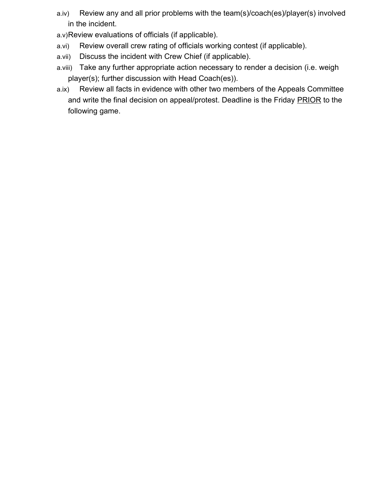- a.iv) Review any and all prior problems with the team(s)/coach(es)/player(s) involved in the incident.
- a.v)Review evaluations of officials (if applicable).
- a.vi) Review overall crew rating of officials working contest (if applicable).
- a.vii) Discuss the incident with Crew Chief (if applicable).
- a.viii) Take any further appropriate action necessary to render a decision (i.e. weigh player(s); further discussion with Head Coach(es)).
- a.ix) Review all facts in evidence with other two members of the Appeals Committee and write the final decision on appeal/protest. Deadline is the Friday PRIOR to the following game.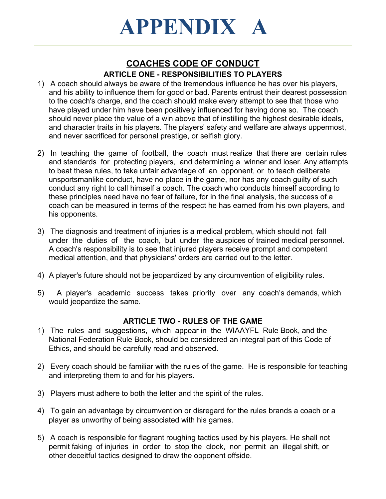## **COACHES CODE OF CONDUCT ARTICLE ONE - RESPONSIBILITIES TO PLAYERS**

- 1) A coach should always be aware of the tremendous influence he has over his players, and his ability to influence them for good or bad. Parents entrust their dearest possession to the coach's charge, and the coach should make every attempt to see that those who have played under him have been positively influenced for having done so. The coach should never place the value of a win above that of instilling the highest desirable ideals, and character traits in his players. The players' safety and welfare are always uppermost, and never sacrificed for personal prestige, or selfish glory.
- 2) In teaching the game of football, the coach must realize that there are certain rules and standards for protecting players, and determining a winner and loser. Any attempts to beat these rules, to take unfair advantage of an opponent, or to teach deliberate unsportsmanlike conduct, have no place in the game, nor has any coach guilty of such conduct any right to call himself a coach. The coach who conducts himself according to these principles need have no fear of failure, for in the final analysis, the success of a coach can be measured in terms of the respect he has earned from his own players, and his opponents.
- 3) The diagnosis and treatment of injuries is a medical problem, which should not fall under the duties of the coach, but under the auspices of trained medical personnel. A coach's responsibility is to see that injured players receive prompt and competent medical attention, and that physicians' orders are carried out to the letter.
- 4) A player's future should not be jeopardized by any circumvention of eligibility rules.
- 5) A player's academic success takes priority over any coach's demands, which would jeopardize the same.

#### **ARTICLE TWO - RULES OF THE GAME**

- 1) The rules and suggestions, which appear in the WIAAYFL Rule Book, and the National Federation Rule Book, should be considered an integral part of this Code of Ethics, and should be carefully read and observed.
- 2) Every coach should be familiar with the rules of the game. He is responsible for teaching and interpreting them to and for his players.
- 3) Players must adhere to both the letter and the spirit of the rules.
- 4) To gain an advantage by circumvention or disregard for the rules brands a coach or a player as unworthy of being associated with his games.
- 5) A coach is responsible for flagrant roughing tactics used by his players. He shall not permit faking of injuries in order to stop the clock, nor permit an illegal shift, or other deceitful tactics designed to draw the opponent offside.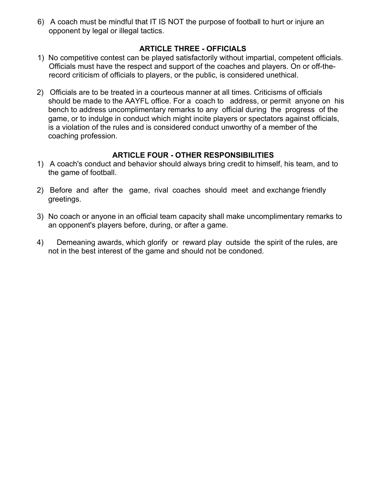6) A coach must be mindful that IT IS NOT the purpose of football to hurt or injure an opponent by legal or illegal tactics.

#### **ARTICLE THREE - OFFICIALS**

- 1) No competitive contest can be played satisfactorily without impartial, competent officials. Officials must have the respect and support of the coaches and players. On or off-therecord criticism of officials to players, or the public, is considered unethical.
- 2) Officials are to be treated in a courteous manner at all times. Criticisms of officials should be made to the AAYFL office. For a coach to address, or permit anyone on his bench to address uncomplimentary remarks to any official during the progress of the game, or to indulge in conduct which might incite players or spectators against officials, is a violation of the rules and is considered conduct unworthy of a member of the coaching profession.

#### **ARTICLE FOUR - OTHER RESPONSIBILITIES**

- 1) A coach's conduct and behavior should always bring credit to himself, his team, and to the game of football.
- 2) Before and after the game, rival coaches should meet and exchange friendly greetings.
- 3) No coach or anyone in an official team capacity shall make uncomplimentary remarks to an opponent's players before, during, or after a game.
- 4) Demeaning awards, which glorify or reward play outside the spirit of the rules, are not in the best interest of the game and should not be condoned.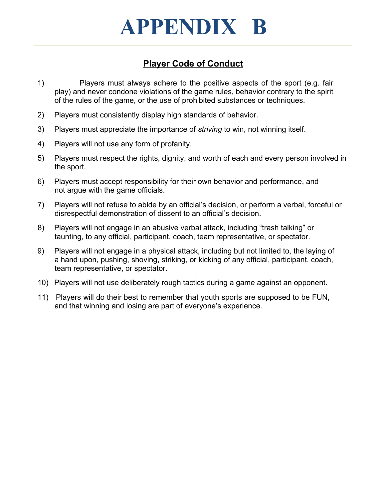## **Player Code of Conduct**

- 1) Players must always adhere to the positive aspects of the sport (e.g. fair play) and never condone violations of the game rules, behavior contrary to the spirit of the rules of the game, or the use of prohibited substances or techniques.
- 2) Players must consistently display high standards of behavior.
- 3) Players must appreciate the importance of *striving* to win, not winning itself.
- 4) Players will not use any form of profanity.
- 5) Players must respect the rights, dignity, and worth of each and every person involved in the sport.
- 6) Players must accept responsibility for their own behavior and performance, and not argue with the game officials.
- 7) Players will not refuse to abide by an official's decision, or perform a verbal, forceful or disrespectful demonstration of dissent to an official's decision.
- 8) Players will not engage in an abusive verbal attack, including "trash talking" or taunting, to any official, participant, coach, team representative, or spectator.
- 9) Players will not engage in a physical attack, including but not limited to, the laying of a hand upon, pushing, shoving, striking, or kicking of any official, participant, coach, team representative, or spectator.
- 10) Players will not use deliberately rough tactics during a game against an opponent.
- 11) Players will do their best to remember that youth sports are supposed to be FUN, and that winning and losing are part of everyone's experience.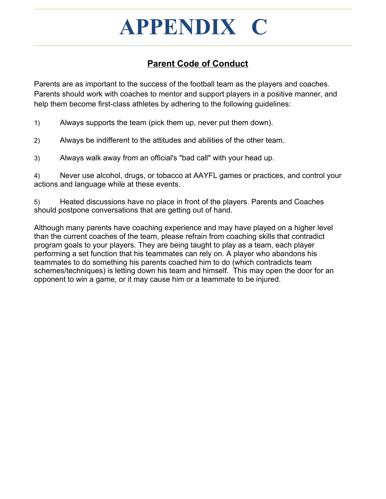## **APPENDIX C**

## **Parent Code of Conduct**

Parents are as important to the success of the football team as the players and coaches. Parents should work with coaches to mentor and support players in a positive manner, and help them become first-class athletes by adhering to the following guidelines:

1) Always supports the team (pick them up, never put them down).

2) Always be indifferent to the attitudes and abilities of the other team.

3) Always walk away from an official's "bad call" with your head up.

4) Never use alcohol, drugs, or tobacco at AAYFL games or practices, and control your actions and language while at these events.

5) Heated discussions have no place in front of the players. Parents and Coaches should postpone conversations that are getting out of hand.

Although many parents have coaching experience and may have played on a higher level than the current coaches of the team, please refrain from coaching skills that contradict program goals to your players. They are being taught to play as a team, each player performing a set function that his teammates can rely on. A player who abandons his teammates to do something his parents coached him to do (which contradicts team schemes/techniques) is letting down his team and himself. This may open the door for an opponent to win a game, or it may cause him or a teammate to be injured.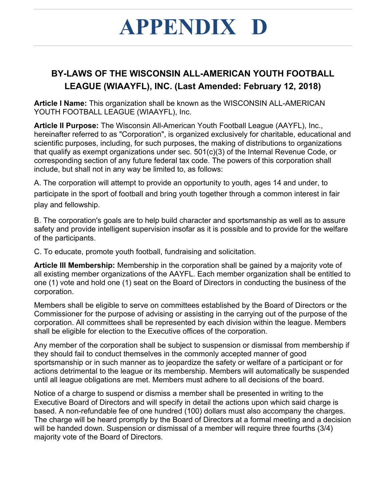## **APPENDIX D**

## **BY-LAWS OF THE WISCONSIN ALL-AMERICAN YOUTH FOOTBALL LEAGUE (WIAAYFL), INC. (Last Amended: February 12, 2018)**

**Article I Name:** This organization shall be known as the WISCONSIN ALL-AMERICAN YOUTH FOOTBALL LEAGUE (WIAAYFL), Inc.

**Article II Purpose:** The Wisconsin All-American Youth Football League (AAYFL), Inc., hereinafter referred to as "Corporation", is organized exclusively for charitable, educational and scientific purposes, including, for such purposes, the making of distributions to organizations that qualify as exempt organizations under sec. 501(c)(3) of the Internal Revenue Code, or corresponding section of any future federal tax code. The powers of this corporation shall include, but shall not in any way be limited to, as follows:

A. The corporation will attempt to provide an opportunity to youth, ages 14 and under, to participate in the sport of football and bring youth together through a common interest in fair play and fellowship.

B. The corporation's goals are to help build character and sportsmanship as well as to assure safety and provide intelligent supervision insofar as it is possible and to provide for the welfare of the participants.

C. To educate, promote youth football, fundraising and solicitation.

**Article III Membership:** Membership in the corporation shall be gained by a majority vote of all existing member organizations of the AAYFL. Each member organization shall be entitled to one (1) vote and hold one (1) seat on the Board of Directors in conducting the business of the corporation.

Members shall be eligible to serve on committees established by the Board of Directors or the Commissioner for the purpose of advising or assisting in the carrying out of the purpose of the corporation. All committees shall be represented by each division within the league. Members shall be eligible for election to the Executive offices of the corporation.

Any member of the corporation shall be subject to suspension or dismissal from membership if they should fail to conduct themselves in the commonly accepted manner of good sportsmanship or in such manner as to jeopardize the safety or welfare of a participant or for actions detrimental to the league or its membership. Members will automatically be suspended until all league obligations are met. Members must adhere to all decisions of the board.

Notice of a charge to suspend or dismiss a member shall be presented in writing to the Executive Board of Directors and will specify in detail the actions upon which said charge is based. A non-refundable fee of one hundred (100) dollars must also accompany the charges. The charge will be heard promptly by the Board of Directors at a formal meeting and a decision will be handed down. Suspension or dismissal of a member will require three fourths (3/4) majority vote of the Board of Directors.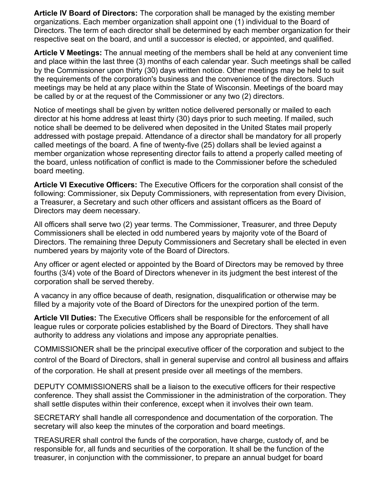**Article IV Board of Directors:** The corporation shall be managed by the existing member organizations. Each member organization shall appoint one (1) individual to the Board of Directors. The term of each director shall be determined by each member organization for their respective seat on the board, and until a successor is elected, or appointed, and qualified.

**Article V Meetings:** The annual meeting of the members shall be held at any convenient time and place within the last three (3) months of each calendar year. Such meetings shall be called by the Commissioner upon thirty (30) days written notice. Other meetings may be held to suit the requirements of the corporation's business and the convenience of the directors. Such meetings may be held at any place within the State of Wisconsin. Meetings of the board may be called by or at the request of the Commissioner or any two (2) directors.

Notice of meetings shall be given by written notice delivered personally or mailed to each director at his home address at least thirty (30) days prior to such meeting. If mailed, such notice shall be deemed to be delivered when deposited in the United States mail properly addressed with postage prepaid. Attendance of a director shall be mandatory for all properly called meetings of the board. A fine of twenty-five (25) dollars shall be levied against a member organization whose representing director fails to attend a properly called meeting of the board, unless notification of conflict is made to the Commissioner before the scheduled board meeting.

**Article VI Executive Officers:** The Executive Officers for the corporation shall consist of the following: Commissioner, six Deputy Commissioners, with representation from every Division, a Treasurer, a Secretary and such other officers and assistant officers as the Board of Directors may deem necessary.

All officers shall serve two (2) year terms. The Commissioner, Treasurer, and three Deputy Commissioners shall be elected in odd numbered years by majority vote of the Board of Directors. The remaining three Deputy Commissioners and Secretary shall be elected in even numbered years by majority vote of the Board of Directors.

Any officer or agent elected or appointed by the Board of Directors may be removed by three fourths (3/4) vote of the Board of Directors whenever in its judgment the best interest of the corporation shall be served thereby.

A vacancy in any office because of death, resignation, disqualification or otherwise may be filled by a majority vote of the Board of Directors for the unexpired portion of the term.

**Article VII Duties:** The Executive Officers shall be responsible for the enforcement of all league rules or corporate policies established by the Board of Directors. They shall have authority to address any violations and impose any appropriate penalties.

COMMISSIONER shall be the principal executive officer of the corporation and subject to the control of the Board of Directors, shall in general supervise and control all business and affairs of the corporation. He shall at present preside over all meetings of the members.

DEPUTY COMMISSIONERS shall be a liaison to the executive officers for their respective conference. They shall assist the Commissioner in the administration of the corporation. They shall settle disputes within their conference, except when it involves their own team.

SECRETARY shall handle all correspondence and documentation of the corporation. The secretary will also keep the minutes of the corporation and board meetings.

TREASURER shall control the funds of the corporation, have charge, custody of, and be responsible for, all funds and securities of the corporation. It shall be the function of the treasurer, in conjunction with the commissioner, to prepare an annual budget for board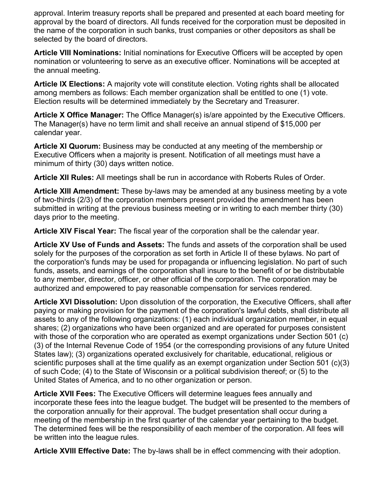approval. Interim treasury reports shall be prepared and presented at each board meeting for approval by the board of directors. All funds received for the corporation must be deposited in the name of the corporation in such banks, trust companies or other depositors as shall be selected by the board of directors.

**Article VIII Nominations:** Initial nominations for Executive Officers will be accepted by open nomination or volunteering to serve as an executive officer. Nominations will be accepted at the annual meeting.

**Article IX Elections:** A majority vote will constitute election. Voting rights shall be allocated among members as follows: Each member organization shall be entitled to one (1) vote. Election results will be determined immediately by the Secretary and Treasurer.

**Article X Office Manager:** The Office Manager(s) is/are appointed by the Executive Officers. The Manager(s) have no term limit and shall receive an annual stipend of \$15,000 per calendar year.

**Article XI Quorum:** Business may be conducted at any meeting of the membership or Executive Officers when a majority is present. Notification of all meetings must have a minimum of thirty (30) days written notice.

**Article XII Rules:** All meetings shall be run in accordance with Roberts Rules of Order.

**Article XIII Amendment:** These by-laws may be amended at any business meeting by a vote of two-thirds (2/3) of the corporation members present provided the amendment has been submitted in writing at the previous business meeting or in writing to each member thirty (30) days prior to the meeting.

**Article XIV Fiscal Year:** The fiscal year of the corporation shall be the calendar year.

**Article XV Use of Funds and Assets:** The funds and assets of the corporation shall be used solely for the purposes of the corporation as set forth in Article II of these bylaws. No part of the corporation's funds may be used for propaganda or influencing legislation. No part of such funds, assets, and earnings of the corporation shall insure to the benefit of or be distributable to any member, director, officer, or other official of the corporation. The corporation may be authorized and empowered to pay reasonable compensation for services rendered.

**Article XVI Dissolution:** Upon dissolution of the corporation, the Executive Officers, shall after paying or making provision for the payment of the corporation's lawful debts, shall distribute all assets to any of the following organizations: (1) each individual organization member, in equal shares; (2) organizations who have been organized and are operated for purposes consistent with those of the corporation who are operated as exempt organizations under Section 501 (c) (3) of the Internal Revenue Code of 1954 (or the corresponding provisions of any future United States law); (3) organizations operated exclusively for charitable, educational, religious or scientific purposes shall at the time qualify as an exempt organization under Section 501 (c)(3) of such Code; (4) to the State of Wisconsin or a political subdivision thereof; or (5) to the United States of America, and to no other organization or person.

**Article XVII Fees:** The Executive Officers will determine leagues fees annually and incorporate these fees into the league budget. The budget will be presented to the members of the corporation annually for their approval. The budget presentation shall occur during a meeting of the membership in the first quarter of the calendar year pertaining to the budget. The determined fees will be the responsibility of each member of the corporation. All fees will be written into the league rules.

**Article XVIII Effective Date:** The by-laws shall be in effect commencing with their adoption.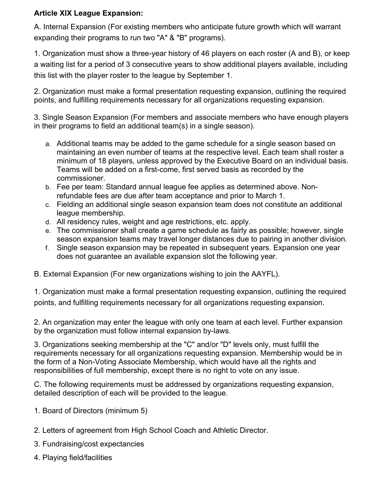#### **Article XIX League Expansion:**

A. Internal Expansion (For existing members who anticipate future growth which will warrant expanding their programs to run two "A" & "B" programs).

1. Organization must show a three-year history of 46 players on each roster (A and B), or keep a waiting list for a period of 3 consecutive years to show additional players available, including this list with the player roster to the league by September 1.

2. Organization must make a formal presentation requesting expansion, outlining the required points, and fulfilling requirements necessary for all organizations requesting expansion.

3. Single Season Expansion (For members and associate members who have enough players in their programs to field an additional team(s) in a single season).

- a. Additional teams may be added to the game schedule for a single season based on maintaining an even number of teams at the respective level. Each team shall roster a minimum of 18 players, unless approved by the Executive Board on an individual basis. Teams will be added on a first-come, first served basis as recorded by the commissioner.
- b. Fee per team: Standard annual league fee applies as determined above. Nonrefundable fees are due after team acceptance and prior to March 1.
- c. Fielding an additional single season expansion team does not constitute an additional league membership.
- d. All residency rules, weight and age restrictions, etc. apply.
- e. The commissioner shall create a game schedule as fairly as possible; however, single season expansion teams may travel longer distances due to pairing in another division.
- f. Single season expansion may be repeated in subsequent years. Expansion one year does not guarantee an available expansion slot the following year.

B. External Expansion (For new organizations wishing to join the AAYFL).

1. Organization must make a formal presentation requesting expansion, outlining the required points, and fulfilling requirements necessary for all organizations requesting expansion.

2. An organization may enter the league with only one team at each level. Further expansion by the organization must follow internal expansion by-laws.

3. Organizations seeking membership at the "C" and/or "D" levels only, must fulfill the requirements necessary for all organizations requesting expansion. Membership would be in the form of a Non-Voting Associate Membership, which would have all the rights and responsibilities of full membership, except there is no right to vote on any issue.

C. The following requirements must be addressed by organizations requesting expansion, detailed description of each will be provided to the league.

- 1. Board of Directors (minimum 5)
- 2. Letters of agreement from High School Coach and Athletic Director.
- 3. Fundraising/cost expectancies
- 4. Playing field/facilities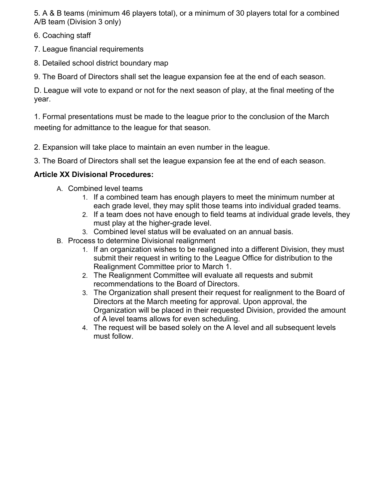5. A & B teams (minimum 46 players total), or a minimum of 30 players total for a combined A/B team (Division 3 only)

- 6. Coaching staff
- 7. League financial requirements
- 8. Detailed school district boundary map
- 9. The Board of Directors shall set the league expansion fee at the end of each season.

D. League will vote to expand or not for the next season of play, at the final meeting of the year.

1. Formal presentations must be made to the league prior to the conclusion of the March meeting for admittance to the league for that season.

- 2. Expansion will take place to maintain an even number in the league.
- 3. The Board of Directors shall set the league expansion fee at the end of each season.

#### **Article XX Divisional Procedures:**

- A. Combined level teams
	- 1. If a combined team has enough players to meet the minimum number at each grade level, they may split those teams into individual graded teams.
	- 2. If a team does not have enough to field teams at individual grade levels, they must play at the higher-grade level.
	- 3. Combined level status will be evaluated on an annual basis.
- B. Process to determine Divisional realignment
	- 1. If an organization wishes to be realigned into a different Division, they must submit their request in writing to the League Office for distribution to the Realignment Committee prior to March 1.
	- 2. The Realignment Committee will evaluate all requests and submit recommendations to the Board of Directors.
	- 3. The Organization shall present their request for realignment to the Board of Directors at the March meeting for approval. Upon approval, the Organization will be placed in their requested Division, provided the amount of A level teams allows for even scheduling.
	- 4. The request will be based solely on the A level and all subsequent levels must follow.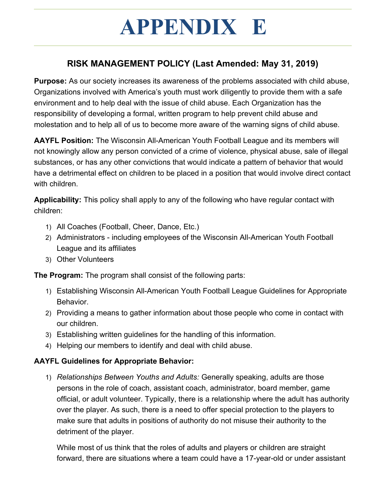## **APPENDIX E**

## **RISK MANAGEMENT POLICY (Last Amended: May 31, 2019)**

**Purpose:** As our society increases its awareness of the problems associated with child abuse, Organizations involved with America's youth must work diligently to provide them with a safe environment and to help deal with the issue of child abuse. Each Organization has the responsibility of developing a formal, written program to help prevent child abuse and molestation and to help all of us to become more aware of the warning signs of child abuse.

**AAYFL Position:** The Wisconsin All-American Youth Football League and its members will not knowingly allow any person convicted of a crime of violence, physical abuse, sale of illegal substances, or has any other convictions that would indicate a pattern of behavior that would have a detrimental effect on children to be placed in a position that would involve direct contact with children.

**Applicability:** This policy shall apply to any of the following who have regular contact with children:

- 1) All Coaches (Football, Cheer, Dance, Etc.)
- 2) Administrators including employees of the Wisconsin All-American Youth Football League and its affiliates
- 3) Other Volunteers

**The Program:** The program shall consist of the following parts:

- 1) Establishing Wisconsin All-American Youth Football League Guidelines for Appropriate Behavior.
- 2) Providing a means to gather information about those people who come in contact with our children.
- 3) Establishing written guidelines for the handling of this information.
- 4) Helping our members to identify and deal with child abuse.

#### **AAYFL Guidelines for Appropriate Behavior:**

1) *Relationships Between Youths and Adults:* Generally speaking, adults are those persons in the role of coach, assistant coach, administrator, board member, game official, or adult volunteer. Typically, there is a relationship where the adult has authority over the player. As such, there is a need to offer special protection to the players to make sure that adults in positions of authority do not misuse their authority to the detriment of the player.

While most of us think that the roles of adults and players or children are straight forward, there are situations where a team could have a 17-year-old or under assistant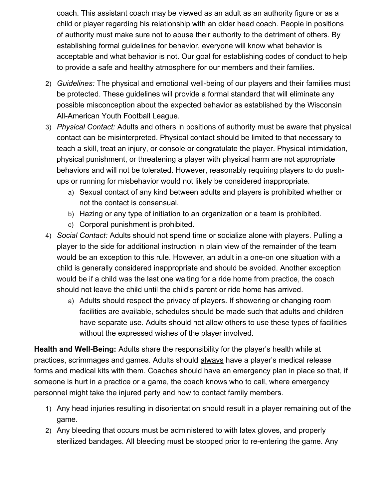coach. This assistant coach may be viewed as an adult as an authority figure or as a child or player regarding his relationship with an older head coach. People in positions of authority must make sure not to abuse their authority to the detriment of others. By establishing formal guidelines for behavior, everyone will know what behavior is acceptable and what behavior is not. Our goal for establishing codes of conduct to help to provide a safe and healthy atmosphere for our members and their families.

- 2) *Guidelines:* The physical and emotional well-being of our players and their families must be protected. These guidelines will provide a formal standard that will eliminate any possible misconception about the expected behavior as established by the Wisconsin All-American Youth Football League.
- 3) *Physical Contact:* Adults and others in positions of authority must be aware that physical contact can be misinterpreted. Physical contact should be limited to that necessary to teach a skill, treat an injury, or console or congratulate the player. Physical intimidation, physical punishment, or threatening a player with physical harm are not appropriate behaviors and will not be tolerated. However, reasonably requiring players to do pushups or running for misbehavior would not likely be considered inappropriate.
	- a) Sexual contact of any kind between adults and players is prohibited whether or not the contact is consensual.
	- b) Hazing or any type of initiation to an organization or a team is prohibited.
	- c) Corporal punishment is prohibited.
- 4) *Social Contact:* Adults should not spend time or socialize alone with players. Pulling a player to the side for additional instruction in plain view of the remainder of the team would be an exception to this rule. However, an adult in a one-on one situation with a child is generally considered inappropriate and should be avoided. Another exception would be if a child was the last one waiting for a ride home from practice, the coach should not leave the child until the child's parent or ride home has arrived.
	- a) Adults should respect the privacy of players. If showering or changing room facilities are available, schedules should be made such that adults and children have separate use. Adults should not allow others to use these types of facilities without the expressed wishes of the player involved.

**Health and Well-Being:** Adults share the responsibility for the player's health while at practices, scrimmages and games. Adults should always have a player's medical release forms and medical kits with them. Coaches should have an emergency plan in place so that, if someone is hurt in a practice or a game, the coach knows who to call, where emergency personnel might take the injured party and how to contact family members.

- 1) Any head injuries resulting in disorientation should result in a player remaining out of the game.
- 2) Any bleeding that occurs must be administered to with latex gloves, and properly sterilized bandages. All bleeding must be stopped prior to re-entering the game. Any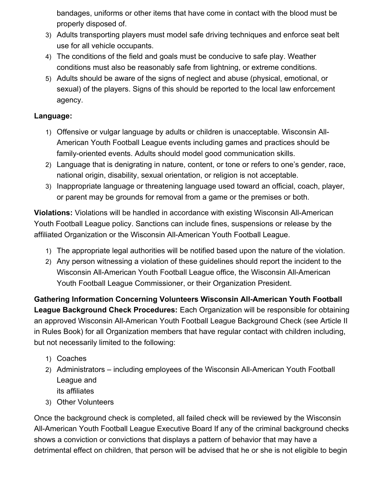bandages, uniforms or other items that have come in contact with the blood must be properly disposed of.

- 3) Adults transporting players must model safe driving techniques and enforce seat belt use for all vehicle occupants.
- 4) The conditions of the field and goals must be conducive to safe play. Weather conditions must also be reasonably safe from lightning, or extreme conditions.
- 5) Adults should be aware of the signs of neglect and abuse (physical, emotional, or sexual) of the players. Signs of this should be reported to the local law enforcement agency.

#### **Language:**

- 1) Offensive or vulgar language by adults or children is unacceptable. Wisconsin All-American Youth Football League events including games and practices should be family-oriented events. Adults should model good communication skills.
- 2) Language that is denigrating in nature, content, or tone or refers to one's gender, race, national origin, disability, sexual orientation, or religion is not acceptable.
- 3) Inappropriate language or threatening language used toward an official, coach, player, or parent may be grounds for removal from a game or the premises or both.

**Violations:** Violations will be handled in accordance with existing Wisconsin All-American Youth Football League policy. Sanctions can include fines, suspensions or release by the affiliated Organization or the Wisconsin All-American Youth Football League.

- 1) The appropriate legal authorities will be notified based upon the nature of the violation.
- 2) Any person witnessing a violation of these guidelines should report the incident to the Wisconsin All-American Youth Football League office, the Wisconsin All-American Youth Football League Commissioner, or their Organization President.

**Gathering Information Concerning Volunteers Wisconsin All-American Youth Football League Background Check Procedures:** Each Organization will be responsible for obtaining an approved Wisconsin All-American Youth Football League Background Check (see Article II in Rules Book) for all Organization members that have regular contact with children including, but not necessarily limited to the following:

- 1) Coaches
- 2) Administrators including employees of the Wisconsin All-American Youth Football League and its affiliates
- 3) Other Volunteers

Once the background check is completed, all failed check will be reviewed by the Wisconsin All-American Youth Football League Executive Board If any of the criminal background checks shows a conviction or convictions that displays a pattern of behavior that may have a detrimental effect on children, that person will be advised that he or she is not eligible to begin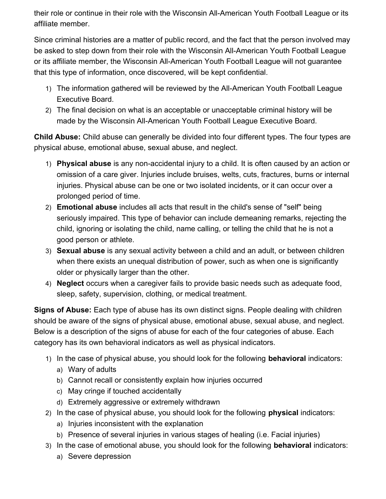their role or continue in their role with the Wisconsin All-American Youth Football League or its affiliate member.

Since criminal histories are a matter of public record, and the fact that the person involved may be asked to step down from their role with the Wisconsin All-American Youth Football League or its affiliate member, the Wisconsin All-American Youth Football League will not guarantee that this type of information, once discovered, will be kept confidential.

- 1) The information gathered will be reviewed by the All-American Youth Football League Executive Board.
- 2) The final decision on what is an acceptable or unacceptable criminal history will be made by the Wisconsin All-American Youth Football League Executive Board.

**Child Abuse:** Child abuse can generally be divided into four different types. The four types are physical abuse, emotional abuse, sexual abuse, and neglect.

- 1) **Physical abuse** is any non-accidental injury to a child. It is often caused by an action or omission of a care giver. Injuries include bruises, welts, cuts, fractures, burns or internal injuries. Physical abuse can be one or two isolated incidents, or it can occur over a prolonged period of time.
- 2) **Emotional abuse** includes all acts that result in the child's sense of "self" being seriously impaired. This type of behavior can include demeaning remarks, rejecting the child, ignoring or isolating the child, name calling, or telling the child that he is not a good person or athlete.
- 3) **Sexual abuse** is any sexual activity between a child and an adult, or between children when there exists an unequal distribution of power, such as when one is significantly older or physically larger than the other.
- 4) **Neglect** occurs when a caregiver fails to provide basic needs such as adequate food, sleep, safety, supervision, clothing, or medical treatment.

**Signs of Abuse:** Each type of abuse has its own distinct signs. People dealing with children should be aware of the signs of physical abuse, emotional abuse, sexual abuse, and neglect. Below is a description of the signs of abuse for each of the four categories of abuse. Each category has its own behavioral indicators as well as physical indicators.

- 1) In the case of physical abuse, you should look for the following **behavioral** indicators:
	- a) Wary of adults
	- b) Cannot recall or consistently explain how injuries occurred
	- c) May cringe if touched accidentally
	- d) Extremely aggressive or extremely withdrawn
- 2) In the case of physical abuse, you should look for the following **physical** indicators:
	- a) Injuries inconsistent with the explanation
	- b) Presence of several injuries in various stages of healing (i.e. Facial injuries)
- 3) In the case of emotional abuse, you should look for the following **behavioral** indicators:
	- a) Severe depression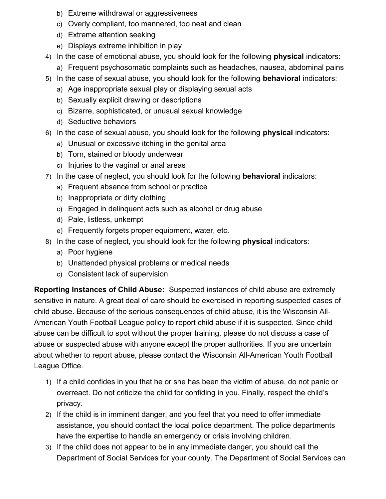- b) Extreme withdrawal or aggressiveness
- c) Overly compliant, too mannered, too neat and clean
- d) Extreme attention seeking
- e) Displays extreme inhibition in play
- 4) In the case of emotional abuse, you should look for the following **physical** indicators:
	- a) Frequent psychosomatic complaints such as headaches, nausea, abdominal pains
- 5) In the case of sexual abuse, you should look for the following **behavioral** indicators:
	- a) Age inappropriate sexual play or displaying sexual acts
	- b) Sexually explicit drawing or descriptions
	- c) Bizarre, sophisticated, or unusual sexual knowledge
	- d) Seductive behaviors
- 6) In the case of sexual abuse, you should look for the following **physical** indicators:
	- a) Unusual or excessive itching in the genital area
	- b) Torn, stained or bloody underwear
	- c) Injuries to the vaginal or anal areas
- 7) In the case of neglect, you should look for the following **behavioral** indicators:
	- a) Frequent absence from school or practice
	- b) Inappropriate or dirty clothing
	- c) Engaged in delinquent acts such as alcohol or drug abuse
	- d) Pale, listless, unkempt
	- e) Frequently forgets proper equipment, water, etc.
- 8) In the case of neglect, you should look for the following **physical** indicators:
	- a) Poor hygiene
	- b) Unattended physical problems or medical needs
	- c) Consistent lack of supervision

**Reporting Instances of Child Abuse:** Suspected instances of child abuse are extremely sensitive in nature. A great deal of care should be exercised in reporting suspected cases of child abuse. Because of the serious consequences of child abuse, it is the Wisconsin All-American Youth Football League policy to report child abuse if it is suspected. Since child abuse can be difficult to spot without the proper training, please do not discuss a case of abuse or suspected abuse with anyone except the proper authorities. If you are uncertain about whether to report abuse, please contact the Wisconsin All-American Youth Football League Office.

- 1) If a child confides in you that he or she has been the victim of abuse, do not panic or overreact. Do not criticize the child for confiding in you. Finally, respect the child's privacy.
- 2) If the child is in imminent danger, and you feel that you need to offer immediate assistance, you should contact the local police department. The police departments have the expertise to handle an emergency or crisis involving children.
- 3) If the child does not appear to be in any immediate danger, you should call the Department of Social Services for your county. The Department of Social Services can